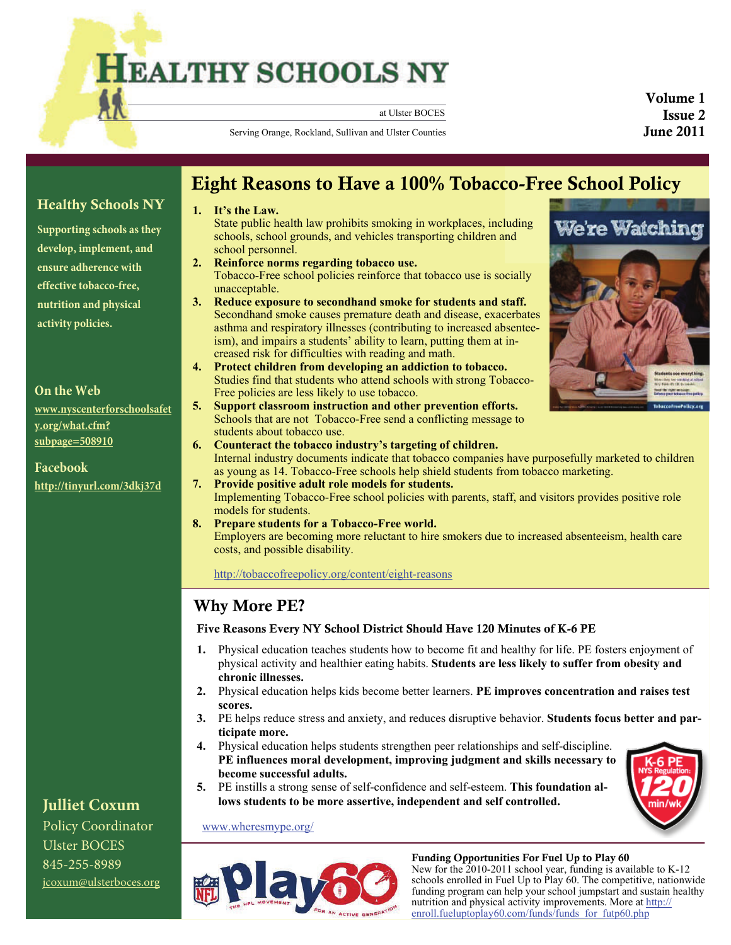# **HEALTHY SCHOOLS NY**

at Ulster BOCES

Volume 1 Issue 2 June 2011

Serving Orange, Rockland, Sullivan and Ulster Counties

# Healthy Schools NY

**Supporting schools as they develop, implement, and ensure adherence with effective tobacco-free, nutrition and physical activity policies.** 

#### **On the Web**

**[www.nyscenterforschoolsafet](http://www.nyscenterforschoolsafety.org/what.cfm?subpage=508910) [y.org/what.cfm?](http://www.nyscenterforschoolsafety.org/what.cfm?subpage=508910) [subpage=508910](http://www.nyscenterforschoolsafety.org/what.cfm?subpage=508910)**

**Facebook <http://tinyurl.com/3dkj37d>**

### **Julliet Coxum**

Policy Coordinator Ulster BOCES 845-255-8989 [jcoxum@ulsterboces.org](mailto:jcoxum@ulsterboces.org)

# Eight Reasons to Have a 100% Tobacco-Free School Policy

#### **1. It's the Law.**

State public health law prohibits smoking in workplaces, including schools, school grounds, and vehicles transporting children and school personnel.

- **2. Reinforce norms regarding tobacco use.**  Tobacco-Free school policies reinforce that tobacco use is socially unacceptable.
- **3. Reduce exposure to secondhand smoke for students and staff.**  Secondhand smoke causes premature death and disease, exacerbates asthma and respiratory illnesses (contributing to increased absenteeism), and impairs a students' ability to learn, putting them at increased risk for difficulties with reading and math.
- **4. Protect children from developing an addiction to tobacco.**  Studies find that students who attend schools with strong Tobacco-Free policies are less likely to use tobacco.
- **5. Support classroom instruction and other prevention efforts.**  Schools that are not Tobacco-Free send a conflicting message to students about tobacco use.
- **6. Counteract the tobacco industry's targeting of children.**  Internal industry documents indicate that tobacco companies have purposefully marketed to children as young as 14. Tobacco-Free schools help shield students from tobacco marketing.
- **7. Provide positive adult role models for students.**  Implementing Tobacco-Free school policies with parents, staff, and visitors provides positive role models for students.
- **8. Prepare students for a Tobacco-Free world.**  Employers are becoming more reluctant to hire smokers due to increased absenteeism, health care costs, and possible disability.

<http://tobaccofreepolicy.org/content/eight-reasons>

### Why More PE?

#### Five Reasons Every NY School District Should Have 120 Minutes of K-6 PE

- **1.** Physical education teaches students how to become fit and healthy for life. PE fosters enjoyment of physical activity and healthier eating habits. **Students are less likely to suffer from obesity and chronic illnesses.**
- **2.** Physical education helps kids become better learners. **PE improves concentration and raises test scores.**
- **3.** PE helps reduce stress and anxiety, and reduces disruptive behavior. **Students focus better and participate more.**
- **4.** Physical education helps students strengthen peer relationships and self-discipline. **PE influences moral development, improving judgment and skills necessary to become successful adults.**
- **5.** PE instills a strong sense of self-confidence and self-esteem. **This foundation allows students to be more assertive, independent and self controlled.**





[www.wheresmype.org/](http://www.wheresmype.org/)

#### Funding Opportunities For Fuel Up to Play 60

New for the 2010-2011 school year, funding is available to K-12 schools enrolled in Fuel Up to Play 60. The competitive, nationwide funding program can help your school jumpstart and sustain healthy nutrition and physical activity improvements. More at [http://](http://enroll.fueluptoplay60.com/funds/funds_for_futp60.php) [enroll.fueluptoplay60.com/funds/funds\\_for\\_futp60.php](http://enroll.fueluptoplay60.com/funds/funds_for_futp60.php)